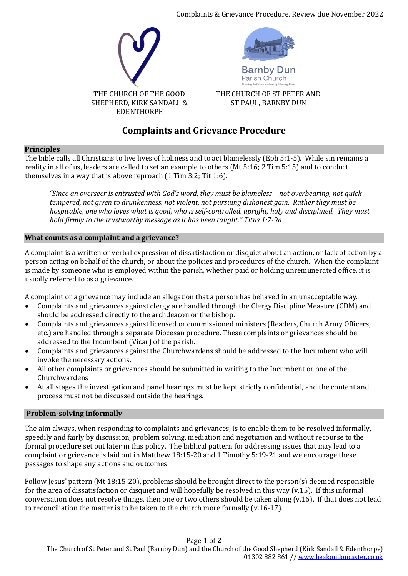Complaints & Grievance Procedure. Review due November 2022





THE CHURCH OF ST PETER AND ST PAUL, BARNBY DUN

# **Complaints and Grievance Procedure**

## **Principles**

The bible calls all Christians to live lives of holiness and to act blamelessly (Eph 5:1-5). While sin remains a reality in all of us, leaders are called to set an example to others (Mt 5:16; 2 Tim 5:15) and to conduct themselves in a way that is above reproach (1 Tim 3:2; Tit 1:6).

*"Since an overseer is entrusted with God's word, they must be blameless – not overbearing, not quicktempered, not given to drunkenness, not violent, not pursuing dishonest gain. Rather they must be hospitable, one who loves what is good, who is self-controlled, upright, holy and disciplined. They must hold firmly to the trustworthy message as it has been taught." Titus 1:7-9a*

## **What counts as a complaint and a grievance?**

A complaint is a written or verbal expression of dissatisfaction or disquiet about an action, or lack of action by a person acting on behalf of the church, or about the policies and procedures of the church. When the complaint is made by someone who is employed within the parish, whether paid or holding unremunerated office, it is usually referred to as a grievance.

A complaint or a grievance may include an allegation that a person has behaved in an unacceptable way.

- Complaints and grievances against clergy are handled through the Clergy Discipline Measure (CDM) and should be addressed directly to the archdeacon or the bishop.
- Complaints and grievances against licensed or commissioned ministers (Readers, Church Army Officers, etc.) are handled through a separate Diocesan procedure. These complaints or grievances should be addressed to the Incumbent (Vicar) of the parish.
- Complaints and grievances against the Churchwardens should be addressed to the Incumbent who will invoke the necessary actions.
- All other complaints or grievances should be submitted in writing to the Incumbent or one of the Churchwardens
- At all stages the investigation and panel hearings must be kept strictly confidential, and the content and process must not be discussed outside the hearings.

# **Problem-solving Informally**

The aim always, when responding to complaints and grievances, is to enable them to be resolved informally, speedily and fairly by discussion, problem solving, mediation and negotiation and without recourse to the formal procedure set out later in this policy. The biblical pattern for addressing issues that may lead to a complaint or grievance is laid out in Matthew 18:15-20 and 1 Timothy 5:19-21 and we encourage these passages to shape any actions and outcomes.

Follow Jesus' pattern (Mt 18:15-20), problems should be brought direct to the person(s) deemed responsible for the area of dissatisfaction or disquiet and will hopefully be resolved in this way (v.15). If this informal conversation does not resolve things, then one or two others should be taken along (v.16). If that does not lead to reconciliation the matter is to be taken to the church more formally (v.16-17).

Page **1** of **2** The Church of St Peter and St Paul (Barnby Dun) and the Church of the Good Shepherd (Kirk Sandall & Edenthorpe) 01302 882 861 /[/ www.beakondoncaster.co.uk](http://www.beakondoncaster.co.uk/)